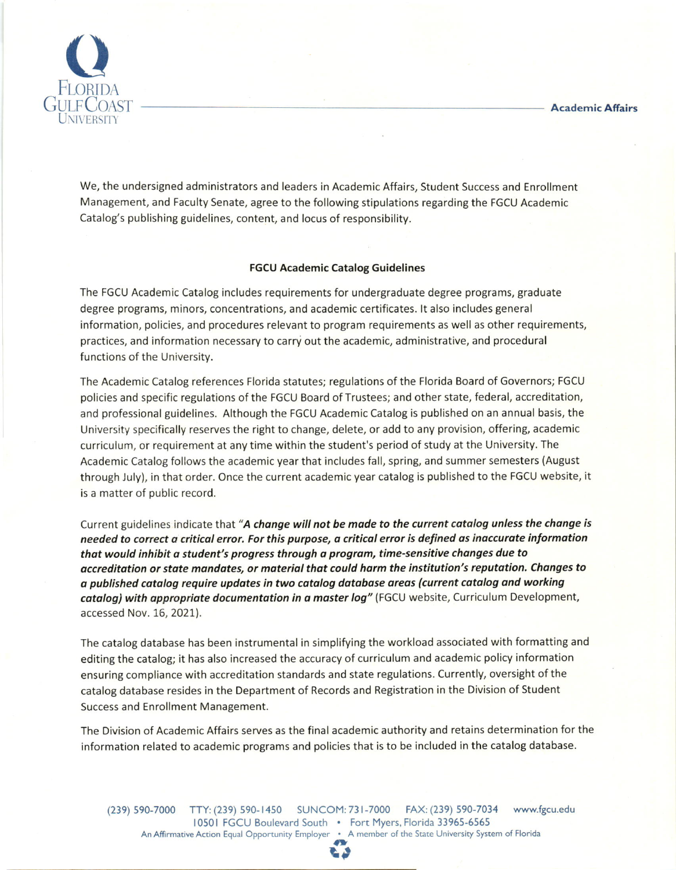

We, the undersigned administrators and leaders in Academic Affairs, Student Success and Enrollment Management, and Faculty Senate, agree to the following stipulations regarding the FGCU Academic Catalog's publishing guidelines, content, and locus of responsibility.

## FGCU Academic Catalog Guidelines

The FGCU Academic Catalog includes requirements for undergraduate degree programs, graduate degree programs, minors, concentrations, and academic certificates. lt also includes general information, policies, and procedures relevant to program requirements as well as other requirements, practices, and information necessary to carry out the academic, administrative, and procedural functions of the University.

The Academic Catalog references Florida statutes; regulations of the Florida Board of Governors; FGCU policies and specific regulations of the FGCU Board of Trustees; and other state, federal, accreditation, and professional guidelines. Although the FGCU Academic Catalog is published on an annual basis, the University specifically reserves the right to change, delete, or add to any provision, offering, academic curriculum, or requirement at any time within the student's period of study at the University. The Academic Catalog follows the academic year that includes fatl, spring, and summer semesters (August through July), in that order. Once the current academic year catalog is published to the FGCU website, it is a matter of public record.

Current guidelines indicate that "A change will not be made to the current catalog unless the change is needed to correct a critical error. For this purpose, a critical error is defined as inaccurate information that would inhibit a student's progress through a program, time-sensitive changes due to accreditation or state mandates, or material that could harm the institution's reputation. Changes to a published catalog require updates in two catalog database areas (current catalog and working catalog) with appropriate documentation in a master log" (FGCU website, Curriculum Development, accessed Nov. 16, 2021).

The catalog database has been instrumentalin simplifying the workload associated with formatting and editing the catalog; it has also increased the accuracy of curriculum and academic policy information ensuring compliance with accreditation standards and state regulations. Currently, oversight of the catalog database resides in the Department of Records and Registration in the Division of Student Success and Enrollment Management.

The Division of Academic Affairs serves as the final academic authority and retains determination for the information related to academic programs and policies that is to be included in the catalog database.

(239) 590-7000 TTY: (239) s90-1450 SUNCOM:731-7000 FAx: (239) 590-7034 www.fgcu.edu 10501 FGCU Boulevard South . Fort Myers, Florida 33965-6565 An Affirmative Action Equal Opportunity Employer . <sup>A</sup>member of the State University System of Florida